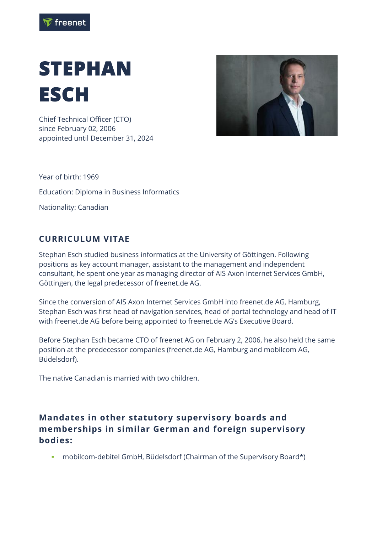

## **STEPHAN ESCH**

Chief Technical Officer (CTO) since February 02, 2006 appointed until December 31, 2024



Year of birth: 1969 Education: Diploma in Business Informatics Nationality: Canadian

## **CURRICULUM VITAE**

Stephan Esch studied business informatics at the University of Göttingen. Following positions as key account manager, assistant to the management and independent consultant, he spent one year as managing director of AIS Axon Internet Services GmbH, Göttingen, the legal predecessor of freenet.de AG.

Since the conversion of AIS Axon Internet Services GmbH into freenet.de AG, Hamburg, Stephan Esch was first head of navigation services, head of portal technology and head of IT with freenet.de AG before being appointed to freenet.de AG's Executive Board.

Before Stephan Esch became CTO of freenet AG on February 2, 2006, he also held the same position at the predecessor companies (freenet.de AG, Hamburg and mobilcom AG, Büdelsdorf).

The native Canadian is married with two children.

## **Mandates in other statutory supervisory boards and memberships in similar German and foreign supervisory bodies:**

▪ mobilcom-debitel GmbH, Büdelsdorf (Chairman of the Supervisory Board\*)